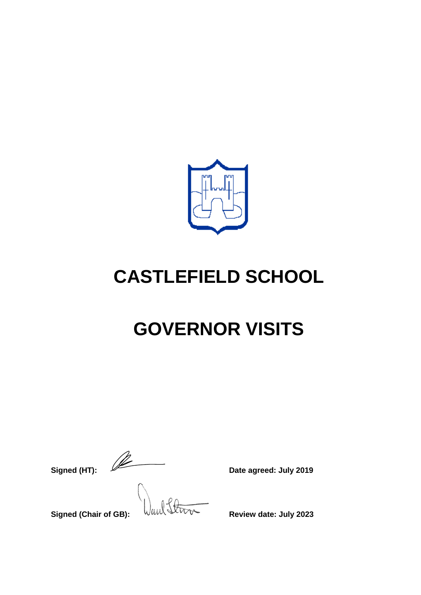

# **CASTLEFIELD SCHOOL**

# **GOVERNOR VISITS**

**Signed (HT):**  $\sqrt{2\pi}$  Date agreed: July 2019

Signed (Chair of GB): **WELL SIGNAL Review date: July 2023**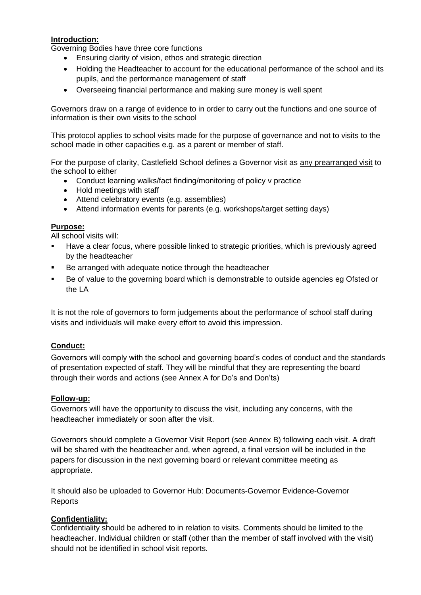# **Introduction:**

Governing Bodies have three core functions

- Ensuring clarity of vision, ethos and strategic direction
- Holding the Headteacher to account for the educational performance of the school and its pupils, and the performance management of staff
- Overseeing financial performance and making sure money is well spent

Governors draw on a range of evidence to in order to carry out the functions and one source of information is their own visits to the school

This protocol applies to school visits made for the purpose of governance and not to visits to the school made in other capacities e.g. as a parent or member of staff.

For the purpose of clarity, Castlefield School defines a Governor visit as any prearranged visit to the school to either

- Conduct learning walks/fact finding/monitoring of policy v practice
- Hold meetings with staff
- Attend celebratory events (e.g. assemblies)
- Attend information events for parents (e.g. workshops/target setting days)

#### **Purpose:**

All school visits will:

- Have a clear focus, where possible linked to strategic priorities, which is previously agreed by the headteacher
- Be arranged with adequate notice through the headteacher
- Be of value to the governing board which is demonstrable to outside agencies eg Ofsted or the LA

It is not the role of governors to form judgements about the performance of school staff during visits and individuals will make every effort to avoid this impression.

# **Conduct:**

Governors will comply with the school and governing board's codes of conduct and the standards of presentation expected of staff. They will be mindful that they are representing the board through their words and actions (see Annex A for Do's and Don'ts)

#### **Follow-up:**

Governors will have the opportunity to discuss the visit, including any concerns, with the headteacher immediately or soon after the visit.

Governors should complete a Governor Visit Report (see Annex B) following each visit. A draft will be shared with the headteacher and, when agreed, a final version will be included in the papers for discussion in the next governing board or relevant committee meeting as appropriate.

It should also be uploaded to Governor Hub: Documents-Governor Evidence-Governor Reports

# **Confidentiality:**

Confidentiality should be adhered to in relation to visits. Comments should be limited to the headteacher. Individual children or staff (other than the member of staff involved with the visit) should not be identified in school visit reports.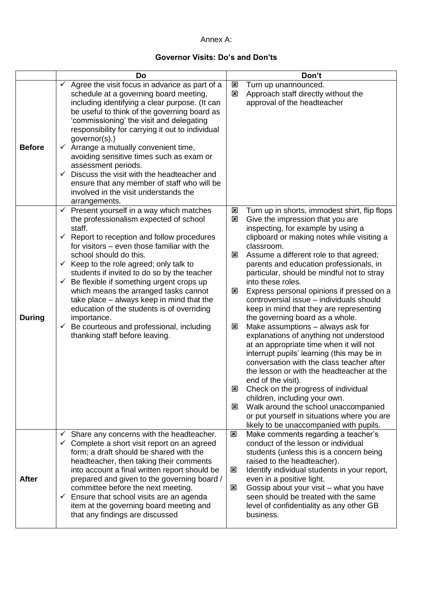#### Annex A:

### **Governor Visits: Do's and Don'ts**

|               | Do                                                                                                                                                                                                                                                                                                                                                                                                                                                                                                                                                                                                                                                         | Don't                                                                                                                                                                                                                                                                                                                                                                                                                                                                                                                                                                                                                                                                                                                                                                                                                                                                                                                                                                                                                                                                                        |
|---------------|------------------------------------------------------------------------------------------------------------------------------------------------------------------------------------------------------------------------------------------------------------------------------------------------------------------------------------------------------------------------------------------------------------------------------------------------------------------------------------------------------------------------------------------------------------------------------------------------------------------------------------------------------------|----------------------------------------------------------------------------------------------------------------------------------------------------------------------------------------------------------------------------------------------------------------------------------------------------------------------------------------------------------------------------------------------------------------------------------------------------------------------------------------------------------------------------------------------------------------------------------------------------------------------------------------------------------------------------------------------------------------------------------------------------------------------------------------------------------------------------------------------------------------------------------------------------------------------------------------------------------------------------------------------------------------------------------------------------------------------------------------------|
| <b>Before</b> | $\checkmark$ Agree the visit focus in advance as part of a<br>schedule at a governing board meeting,<br>including identifying a clear purpose. (It can<br>be useful to think of the governing board as<br>'commissioning' the visit and delegating<br>responsibility for carrying it out to individual<br>governor(s).)<br>$\checkmark$ Arrange a mutually convenient time,<br>avoiding sensitive times such as exam or<br>assessment periods.<br>Discuss the visit with the headteacher and<br>✓<br>ensure that any member of staff who will be<br>involved in the visit understands the<br>arrangements.                                                 | Turn up unannounced.<br>⊠<br>Approach staff directly without the<br>区<br>approval of the headteacher                                                                                                                                                                                                                                                                                                                                                                                                                                                                                                                                                                                                                                                                                                                                                                                                                                                                                                                                                                                         |
| <b>During</b> | $\checkmark$ Present yourself in a way which matches<br>the professionalism expected of school<br>staff.<br>$\checkmark$ Report to reception and follow procedures<br>for visitors – even those familiar with the<br>school should do this.<br>$\checkmark$ Keep to the role agreed; only talk to<br>students if invited to do so by the teacher<br>$\checkmark$ Be flexible if something urgent crops up<br>which means the arranged tasks cannot<br>take place – always keep in mind that the<br>education of the students is of overriding<br>importance.<br>Be courteous and professional, including<br>$\checkmark$<br>thanking staff before leaving. | Turn up in shorts, immodest shirt, flip flops<br>$\mathbf{x}$<br>Give the impression that you are<br>$\boldsymbol{\mathsf{x}}$<br>inspecting, for example by using a<br>clipboard or making notes while visiting a<br>classroom.<br>Assume a different role to that agreed;<br>⊠<br>parents and education professionals, in<br>particular, should be mindful not to stray<br>into these roles.<br>Express personal opinions if pressed on a<br>⊠<br>controversial issue - individuals should<br>keep in mind that they are representing<br>the governing board as a whole.<br>Make assumptions - always ask for<br>⊠<br>explanations of anything not understood<br>at an appropriate time when it will not<br>interrupt pupils' learning (this may be in<br>conversation with the class teacher after<br>the lesson or with the headteacher at the<br>end of the visit).<br>Check on the progress of individual<br>⊠<br>children, including your own.<br>Walk around the school unaccompanied<br>⊠<br>or put yourself in situations where you are<br>likely to be unaccompanied with pupils. |
| <b>After</b>  | Share any concerns with the headteacher.<br>✓<br>Complete a short visit report on an agreed<br>✓<br>form; a draft should be shared with the<br>headteacher, then taking their comments<br>into account a final written report should be<br>prepared and given to the governing board /<br>committee before the next meeting.<br>$\checkmark$ Ensure that school visits are an agenda<br>item at the governing board meeting and<br>that any findings are discussed                                                                                                                                                                                         | Make comments regarding a teacher's<br>⊠<br>conduct of the lesson or individual<br>students (unless this is a concern being<br>raised to the headteacher).<br>Identify individual students in your report,<br>⊠<br>even in a positive light.<br>Gossip about your visit - what you have<br>⊠<br>seen should be treated with the same<br>level of confidentiality as any other GB<br>business.                                                                                                                                                                                                                                                                                                                                                                                                                                                                                                                                                                                                                                                                                                |